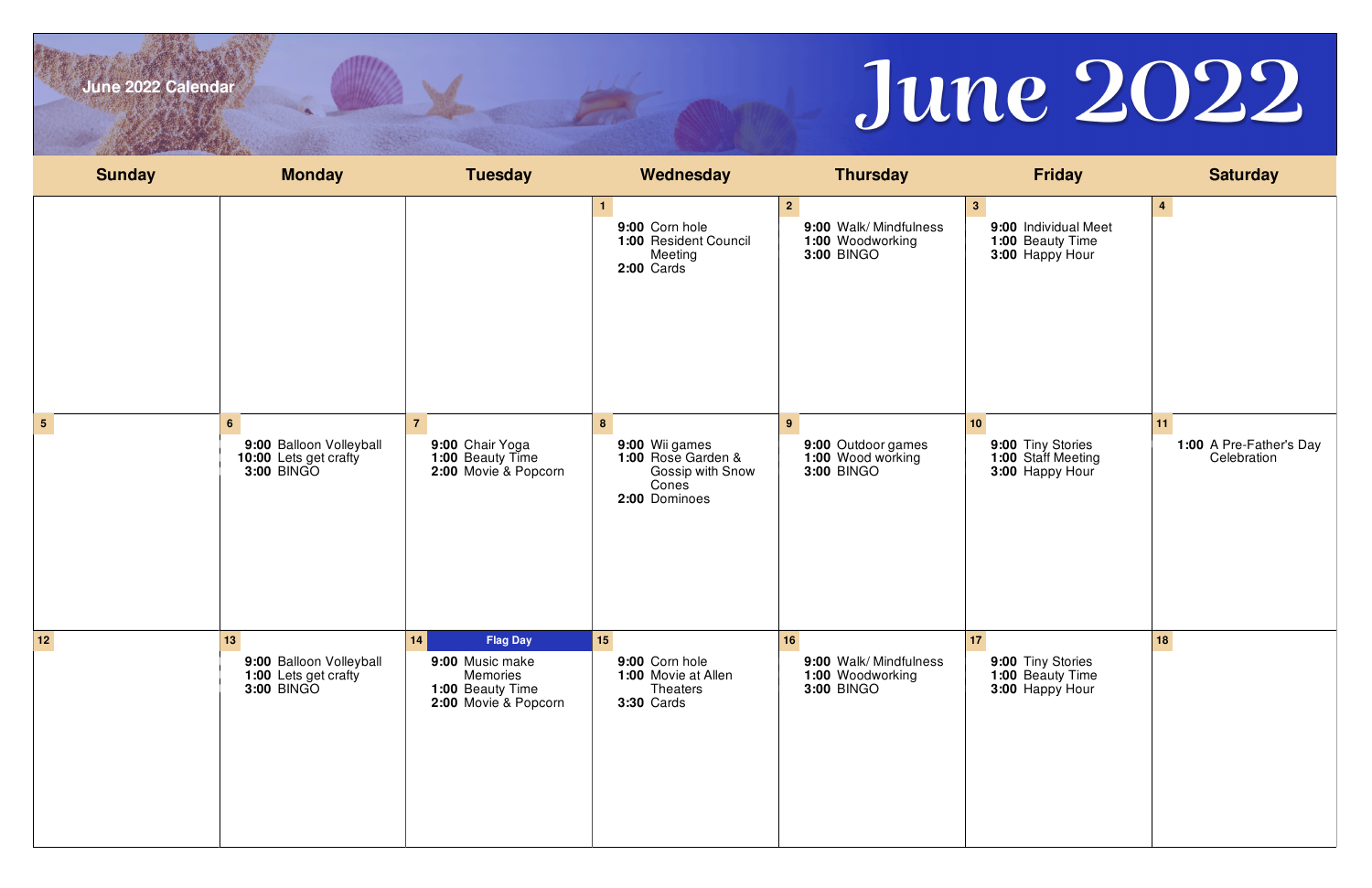

| June 2022 Calendar |                                                                                  |                                                                                                  |                                                                                         |                                                                               | June 2022                                                                     |                                              |
|--------------------|----------------------------------------------------------------------------------|--------------------------------------------------------------------------------------------------|-----------------------------------------------------------------------------------------|-------------------------------------------------------------------------------|-------------------------------------------------------------------------------|----------------------------------------------|
| <b>Sunday</b>      | <b>Monday</b>                                                                    | <b>Tuesday</b>                                                                                   | Wednesday                                                                               | <b>Thursday</b>                                                               | <b>Friday</b>                                                                 | <b>Saturday</b>                              |
|                    |                                                                                  |                                                                                                  | 9:00 Corn hole<br>1:00 Resident Council<br>Meeting<br><b>2:00 Cards</b>                 | $2^{\circ}$<br>9:00 Walk/Mindfulness<br>1:00 Woodworking<br><b>3:00 BINGO</b> | 3 <sub>1</sub><br>9:00 Individual Meet<br>1:00 Beauty Time<br>3:00 Happy Hour | $\overline{4}$                               |
| 5 <sub>5</sub>     | 6 <sup>1</sup><br>9:00 Balloon Volleyball<br>10:00 Lets get crafty<br>3:00 BINGO | $\overline{7}$<br>9:00 Chair Yoga<br>1:00 Beauty Time<br>2:00 Movie & Popcorn                    | 8<br>9:00 Wii games<br>1:00 Rose Garden &<br>Gossip with Snow<br>Cones<br>2:00 Dominoes | 9<br>9:00 Outdoor games<br>1:00 Wood working<br><b>3:00 BINGO</b>             | 10<br>9:00 Tiny Stories<br>1:00 Staff Meeting<br>3:00 Happy Hour              | 11<br>1:00 A Pre-Father's Day<br>Celebration |
| $\boxed{12}$       | 13<br>9:00 Balloon Volleyball<br>1:00 Lets get crafty<br><b>3:00 BINGO</b>       | 14<br><b>Flag Day</b><br>9:00 Music make<br>Memories<br>1:00 Beauty Time<br>2:00 Movie & Popcorn | 15<br>9:00 Corn hole<br>1:00 Movie at Allen<br><b>Theaters</b><br><b>3:30 Cards</b>     | 16<br>9:00 Walk/Mindfulness<br>1:00 Woodworking<br><b>3:00 BINGO</b>          | 17 <br>9:00 Tiny Stories<br>1:00 Beauty Time<br>3:00 Happy Hour               | 18                                           |